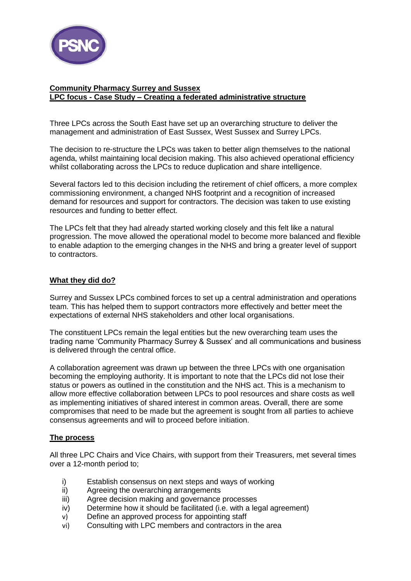

# **Community Pharmacy Surrey and Sussex LPC focus - Case Study – Creating a federated administrative structure**

Three LPCs across the South East have set up an overarching structure to deliver the management and administration of East Sussex, West Sussex and Surrey LPCs.

The decision to re-structure the LPCs was taken to better align themselves to the national agenda, whilst maintaining local decision making. This also achieved operational efficiency whilst collaborating across the LPCs to reduce duplication and share intelligence.

Several factors led to this decision including the retirement of chief officers, a more complex commissioning environment, a changed NHS footprint and a recognition of increased demand for resources and support for contractors. The decision was taken to use existing resources and funding to better effect.

The LPCs felt that they had already started working closely and this felt like a natural progression. The move allowed the operational model to become more balanced and flexible to enable adaption to the emerging changes in the NHS and bring a greater level of support to contractors.

## **What they did do?**

Surrey and Sussex LPCs combined forces to set up a central administration and operations team. This has helped them to support contractors more effectively and better meet the expectations of external NHS stakeholders and other local organisations.

The constituent LPCs remain the legal entities but the new overarching team uses the trading name 'Community Pharmacy Surrey & Sussex' and all communications and business is delivered through the central office.

A collaboration agreement was drawn up between the three LPCs with one organisation becoming the employing authority. It is important to note that the LPCs did not lose their status or powers as outlined in the constitution and the NHS act. This is a mechanism to allow more effective collaboration between LPCs to pool resources and share costs as well as implementing initiatives of shared interest in common areas. Overall, there are some compromises that need to be made but the agreement is sought from all parties to achieve consensus agreements and will to proceed before initiation.

## **The process**

All three LPC Chairs and Vice Chairs, with support from their Treasurers, met several times over a 12-month period to;

- i) Establish consensus on next steps and ways of working
- ii) Agreeing the overarching arrangements
- iii) Agree decision making and governance processes
- iv) Determine how it should be facilitated (i.e. with a legal agreement)
- v) Define an approved process for appointing staff
- vi) Consulting with LPC members and contractors in the area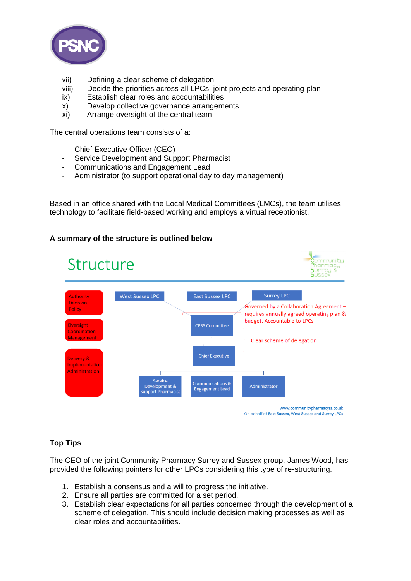

- vii) Defining a clear scheme of delegation
- viii) Decide the priorities across all LPCs, joint projects and operating plan
- ix) Establish clear roles and accountabilities
- x) Develop collective governance arrangements
- xi) Arrange oversight of the central team

The central operations team consists of a:

- Chief Executive Officer (CEO)<br>- Service Development and Sup
- Service Development and Support Pharmacist
- Communications and Engagement Lead
- Administrator (to support operational day to day management)

Based in an office shared with the Local Medical Committees (LMCs), the team utilises technology to facilitate field-based working and employs a virtual receptionist.

## **A summary of the structure is outlined below**



## **Top Tips**

The CEO of the joint Community Pharmacy Surrey and Sussex group, James Wood, has provided the following pointers for other LPCs considering this type of re-structuring.

- 1. Establish a consensus and a will to progress the initiative.
- 2. Ensure all parties are committed for a set period.
- 3. Establish clear expectations for all parties concerned through the development of a scheme of delegation. This should include decision making processes as well as clear roles and accountabilities.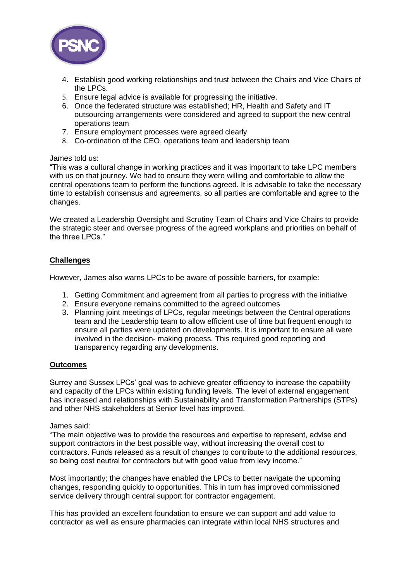

- 4. Establish good working relationships and trust between the Chairs and Vice Chairs of the LPCs.
- 5. Ensure legal advice is available for progressing the initiative.
- 6. Once the federated structure was established; HR, Health and Safety and IT outsourcing arrangements were considered and agreed to support the new central operations team
- 7. Ensure employment processes were agreed clearly
- 8. Co-ordination of the CEO, operations team and leadership team

### James told us:

"This was a cultural change in working practices and it was important to take LPC members with us on that journey. We had to ensure they were willing and comfortable to allow the central operations team to perform the functions agreed. It is advisable to take the necessary time to establish consensus and agreements, so all parties are comfortable and agree to the changes.

We created a Leadership Oversight and Scrutiny Team of Chairs and Vice Chairs to provide the strategic steer and oversee progress of the agreed workplans and priorities on behalf of the three LPCs."

## **Challenges**

However, James also warns LPCs to be aware of possible barriers, for example:

- 1. Getting Commitment and agreement from all parties to progress with the initiative
- 2. Ensure everyone remains committed to the agreed outcomes
- 3. Planning joint meetings of LPCs, regular meetings between the Central operations team and the Leadership team to allow efficient use of time but frequent enough to ensure all parties were updated on developments. It is important to ensure all were involved in the decision- making process. This required good reporting and transparency regarding any developments.

## **Outcomes**

Surrey and Sussex LPCs' goal was to achieve greater efficiency to increase the capability and capacity of the LPCs within existing funding levels. The level of external engagement has increased and relationships with Sustainability and Transformation Partnerships (STPs) and other NHS stakeholders at Senior level has improved.

#### James said:

"The main objective was to provide the resources and expertise to represent, advise and support contractors in the best possible way, without increasing the overall cost to contractors. Funds released as a result of changes to contribute to the additional resources, so being cost neutral for contractors but with good value from levy income."

Most importantly; the changes have enabled the LPCs to better navigate the upcoming changes, responding quickly to opportunities. This in turn has improved commissioned service delivery through central support for contractor engagement.

This has provided an excellent foundation to ensure we can support and add value to contractor as well as ensure pharmacies can integrate within local NHS structures and